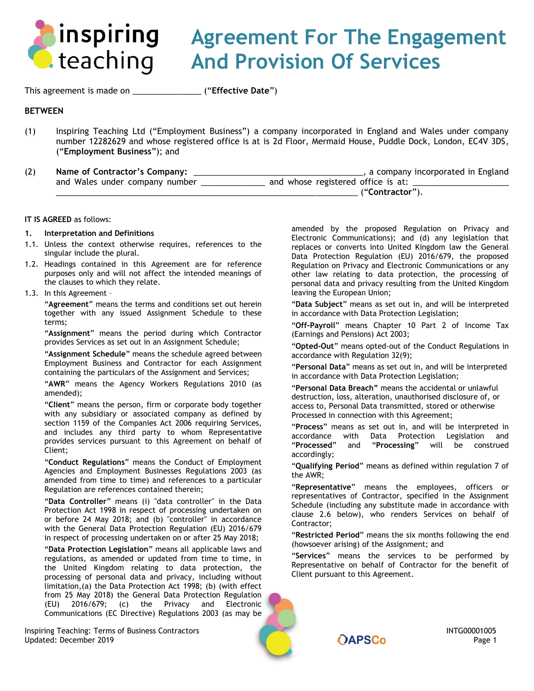

# **Agreement For The Engagement And Provision Of Services**

This agreement is made on \_\_\_\_\_\_\_\_\_\_\_\_\_\_\_ ("**Effective Date**")

# **BETWEEN**

- (1) Inspiring Teaching Ltd ("Employment Business") a company incorporated in England and Wales under company number 12282629 and whose registered office is at is 2d Floor, Mermaid House, Puddle Dock, London, EC4V 3DS, ("**Employment Business**"); and
- (2) **Name of Contractor's Company:** \_\_\_\_\_\_\_\_\_\_\_\_\_\_\_\_\_\_\_\_\_\_\_\_\_\_\_\_\_\_\_\_\_\_\_\_\_, a company incorporated in England and Wales under company number \_\_\_\_\_\_\_\_\_\_\_\_\_\_\_ and whose registered office is at: \_\_\_\_\_\_\_\_\_\_\_\_\_\_\_\_\_\_\_\_\_\_\_\_\_\_\_\_ \_\_\_\_\_\_\_\_\_\_\_\_\_\_\_\_\_\_\_\_\_\_\_\_\_\_\_\_\_\_\_\_\_\_\_\_\_\_\_\_\_\_\_\_\_\_\_\_\_\_\_\_\_\_\_\_\_\_\_\_\_\_\_\_\_\_ ("**Contractor**").

#### **IT IS AGREED** as follows:

#### <span id="page-0-0"></span>**1. Interpretation and Definitions**

- 1.1. Unless the context otherwise requires, references to the singular include the plural.
- 1.2. Headings contained in this Agreement are for reference purposes only and will not affect the intended meanings of the clauses to which they relate.

#### 1.3. In this Agreement –

"**Agreement**" means the terms and conditions set out herein together with any issued Assignment Schedule to these terms;

"**Assignment**" means the period during which Contractor provides Services as set out in an Assignment Schedule;

"**Assignment Schedule**" means the schedule agreed between Employment Business and Contractor for each Assignment containing the particulars of the Assignment and Services;

"**AWR**" means the Agency Workers Regulations 2010 (as amended);

"**Client**" means the person, firm or corporate body together with any subsidiary or associated company as defined by section 1159 of the Companies Act 2006 requiring Services, and includes any third party to whom Representative provides services pursuant to this Agreement on behalf of Client;

"**Conduct Regulations**" means the Conduct of Employment Agencies and Employment Businesses Regulations 2003 (as amended from time to time) and references to a particular Regulation are references contained therein;

"**Data Controller**" means (i) "data controller" in the Data Protection Act 1998 in respect of processing undertaken on or before 24 May 2018; and (b) "controller" in accordance with the General Data Protection Regulation (EU) 2016/679 in respect of processing undertaken on or after 25 May 2018;

"**Data Protection Legislation**" means all applicable laws and regulations, as amended or updated from time to time, in the United Kingdom relating to data protection, the processing of personal data and privacy, including without limitation,(a) the Data Protection Act 1998; (b) (with effect from 25 May 2018) the General Data Protection Regulation (EU) 2016/679; (c) the Privacy and Electronic Communications (EC Directive) Regulations 2003 (as may be

Inspiring Teaching: Terms of Business Contractors **INTG0001005**<br>1 Page 1 Page 1 Page 1 Updated: December 2019 Page 1 Page 1 Page 1 Page 1 Page 1 Page 1 Page 1 Page 1 Page 1 Page 1 Page 1 Page 1 Page 1

amended by the proposed Regulation on Privacy and Electronic Communications); and (d) any legislation that replaces or converts into United Kingdom law the General Data Protection Regulation (EU) 2016/679, the proposed Regulation on Privacy and Electronic Communications or any other law relating to data protection, the processing of personal data and privacy resulting from the United Kingdom leaving the European Union;

"**Data Subject**" means as set out in, and will be interpreted in accordance with Data Protection Legislation;

"**Off-Payroll**" means Chapter 10 Part 2 of Income Tax (Earnings and Pensions) Act 2003;

"**Opted-Out**" means opted-out of the Conduct Regulations in accordance with Regulation 32(9);

"**Personal Data**" means as set out in, and will be interpreted in accordance with Data Protection Legislation;

"**Personal Data Breach"** means the accidental or unlawful destruction, loss, alteration, unauthorised disclosure of, or access to, Personal Data transmitted, stored or otherwise Processed in connection with this Agreement;

"**Process**" means as set out in, and will be interpreted in accordance with Data Protection Legislation and "**Processed**" and "**Processing**" will be construed accordingly;

"**Qualifying Period**" means as defined within regulation 7 of the AWR;

"**Representative**" means the employees, officers or representatives of Contractor, specified in the Assignment Schedule (including any substitute made in accordance with clause [2.6 below\)](#page-1-0), who renders Services on behalf of Contractor;

"**Restricted Period**" means the six months following the end (howsoever arising) of the Assignment; and

"**Services**" means the services to be performed by Representative on behalf of Contractor for the benefit of Client pursuant to this Agreement.

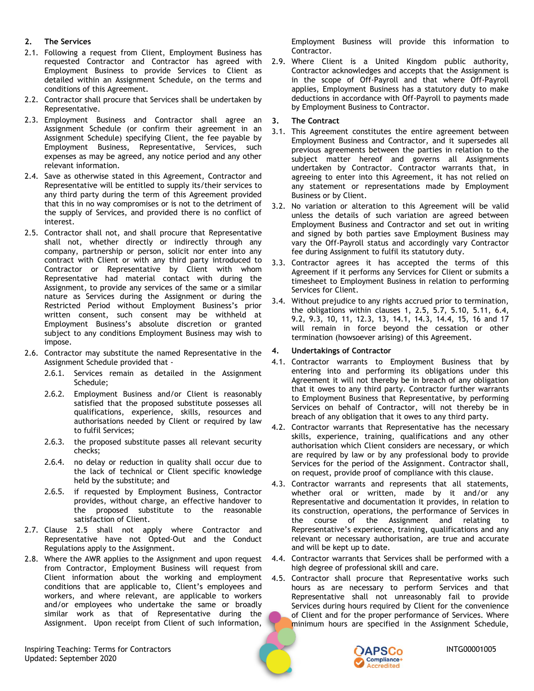# **2. The Services**

- 2.1. Following a request from Client, Employment Business has requested Contractor and Contractor has agreed with Employment Business to provide Services to Client as detailed within an Assignment Schedule, on the terms and conditions of this Agreement.
- 2.2. Contractor shall procure that Services shall be undertaken by Representative.
- 2.3. Employment Business and Contractor shall agree an Assignment Schedule (or confirm their agreement in an Assignment Schedule) specifying Client, the fee payable by Employment Business, Representative, Services, such expenses as may be agreed, any notice period and any other relevant information.
- 2.4. Save as otherwise stated in this Agreement, Contractor and Representative will be entitled to supply its/their services to any third party during the term of this Agreement provided that this in no way compromises or is not to the detriment of the supply of Services, and provided there is no conflict of interest.
- <span id="page-1-1"></span>2.5. Contractor shall not, and shall procure that Representative shall not, whether directly or indirectly through any company, partnership or person, solicit nor enter into any contract with Client or with any third party introduced to Contractor or Representative by Client with whom Representative had material contact with during the Assignment, to provide any services of the same or a similar nature as Services during the Assignment or during the Restricted Period without Employment Business's prior written consent, such consent may be withheld at Employment Business's absolute discretion or granted subject to any conditions Employment Business may wish to impose.
- <span id="page-1-0"></span>2.6. Contractor may substitute the named Representative in the Assignment Schedule provided that -
	- 2.6.1. Services remain as detailed in the Assignment Schedule;
	- 2.6.2. Employment Business and/or Client is reasonably satisfied that the proposed substitute possesses all qualifications, experience, skills, resources and authorisations needed by Client or required by law to fulfil Services;
	- 2.6.3. the proposed substitute passes all relevant security checks;
	- 2.6.4. no delay or reduction in quality shall occur due to the lack of technical or Client specific knowledge held by the substitute; and
	- 2.6.5. if requested by Employment Business, Contractor provides, without charge, an effective handover to the proposed substitute to the reasonable satisfaction of Client.
- 2.7. Clause [2.5](#page-1-1) shall not apply where Contractor and Representative have not Opted-Out and the Conduct Regulations apply to the Assignment.
- 2.8. Where the AWR applies to the Assignment and upon request from Contractor, Employment Business will request from Client information about the working and employment conditions that are applicable to, Client's employees and workers, and where relevant, are applicable to workers and/or employees who undertake the same or broadly similar work as that of Representative during the Assignment. Upon receipt from Client of such information,

Inspiring Teaching: Terms for Contractors **Inspiring Teaching: Terms** for Contractors **INTG00001005** Updated: September 2020

Employment Business will provide this information to Contractor.

2.9. Where Client is a United Kingdom public authority, Contractor acknowledges and accepts that the Assignment is in the scope of Off-Payroll and that where Off-Payroll applies, Employment Business has a statutory duty to make deductions in accordance with Off-Payroll to payments made by Employment Business to Contractor.

# **3. The Contract**

- 3.1. This Agreement constitutes the entire agreement between Employment Business and Contractor, and it supersedes all previous agreements between the parties in relation to the subject matter hereof and governs all Assignments undertaken by Contractor. Contractor warrants that, in agreeing to enter into this Agreement, it has not relied on any statement or representations made by Employment Business or by Client.
- 3.2. No variation or alteration to this Agreement will be valid unless the details of such variation are agreed between Employment Business and Contractor and set out in writing and signed by both parties save Employment Business may vary the Off-Payroll status and accordingly vary Contractor fee during Assignment to fulfil its statutory duty.
- 3.3. Contractor agrees it has accepted the terms of this Agreement if it performs any Services for Client or submits a timesheet to Employment Business in relation to performing Services for Client.
- <span id="page-1-3"></span>3.4. Without prejudice to any rights accrued prior to termination, the obligations within clauses [1,](#page-0-0) [2.5,](#page-1-1) [5.7,](#page-2-0) [5.10,](#page-3-0) [5.11,](#page-3-1) [6.4,](#page-3-2) [9.2,](#page-4-0) [9.3,](#page-5-0) [10,](#page-5-1) [11,](#page-5-2) [12.3,](#page-6-0) [13,](#page-6-1) [14.1,](#page-6-2) [14.3,](#page-7-0) [14.4,](#page-7-1) [15,](#page-7-2) [16](#page-7-3) and [17](#page-8-0) will remain in force beyond the cessation or other termination (howsoever arising) of this Agreement.

# <span id="page-1-2"></span>**4. Undertakings of Contractor**

- 4.1. Contractor warrants to Employment Business that by entering into and performing its obligations under this Agreement it will not thereby be in breach of any obligation that it owes to any third party. Contractor further warrants to Employment Business that Representative, by performing Services on behalf of Contractor, will not thereby be in breach of any obligation that it owes to any third party.
- 4.2. Contractor warrants that Representative has the necessary skills, experience, training, qualifications and any other authorisation which Client considers are necessary, or which are required by law or by any professional body to provide Services for the period of the Assignment. Contractor shall, on request, provide proof of compliance with this clause.
- 4.3. Contractor warrants and represents that all statements, whether oral or written, made by it and/or any Representative and documentation it provides, in relation to its construction, operations, the performance of Services in the course of the Assignment and relating to Representative's experience, training, qualifications and any relevant or necessary authorisation, are true and accurate and will be kept up to date.
- 4.4. Contractor warrants that Services shall be performed with a high degree of professional skill and care.
- 4.5. Contractor shall procure that Representative works such hours as are necessary to perform Services and that Representative shall not unreasonably fail to provide Services during hours required by Client for the convenience of Client and for the proper performance of Services. Where minimum hours are specified in the Assignment Schedule,

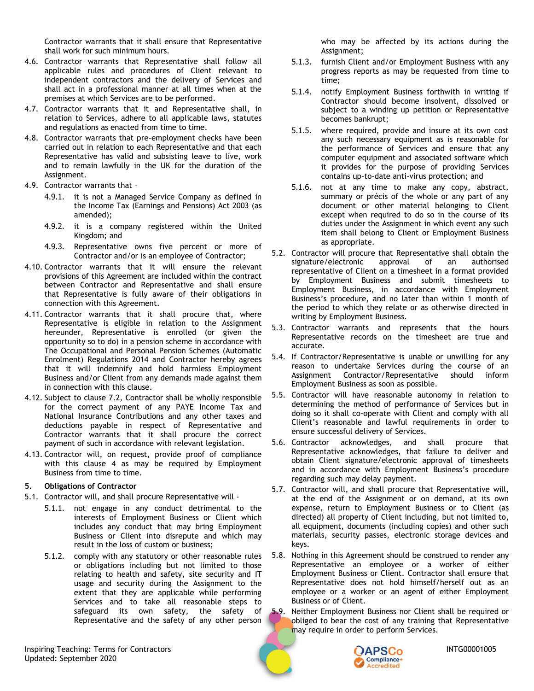Contractor warrants that it shall ensure that Representative shall work for such minimum hours.

- 4.6. Contractor warrants that Representative shall follow all applicable rules and procedures of Client relevant to independent contractors and the delivery of Services and shall act in a professional manner at all times when at the premises at which Services are to be performed.
- 4.7. Contractor warrants that it and Representative shall, in relation to Services, adhere to all applicable laws, statutes and regulations as enacted from time to time.
- 4.8. Contractor warrants that pre-employment checks have been carried out in relation to each Representative and that each Representative has valid and subsisting leave to live, work and to remain lawfully in the UK for the duration of the Assignment.
- 4.9. Contractor warrants that
	- 4.9.1. it is not a Managed Service Company as defined in the Income Tax (Earnings and Pensions) Act 2003 (as amended);
	- 4.9.2. it is a company registered within the United Kingdom; and
	- 4.9.3. Representative owns five percent or more of Contractor and/or is an employee of Contractor;
- 4.10. Contractor warrants that it will ensure the relevant provisions of this Agreement are included within the contract between Contractor and Representative and shall ensure that Representative is fully aware of their obligations in connection with this Agreement.
- 4.11. Contractor warrants that it shall procure that, where Representative is eligible in relation to the Assignment hereunder, Representative is enrolled (or given the opportunity so to do) in a pension scheme in accordance with The Occupational and Personal Pension Schemes (Automatic Enrolment) Regulations 2014 and Contractor hereby agrees that it will indemnify and hold harmless Employment Business and/or Client from any demands made against them in connection with this clause.
- 4.12. Subject to clause [7.2,](#page-3-3) Contractor shall be wholly responsible for the correct payment of any PAYE Income Tax and National Insurance Contributions and any other taxes and deductions payable in respect of Representative and Contractor warrants that it shall procure the correct payment of such in accordance with relevant legislation.
- 4.13. Contractor will, on request, provide proof of compliance with this clause [4](#page-1-2) as may be required by Employment Business from time to time.

# **5. Obligations of Contractor**

- 5.1. Contractor will, and shall procure Representative will
	- 5.1.1. not engage in any conduct detrimental to the interests of Employment Business or Client which includes any conduct that may bring Employment Business or Client into disrepute and which may result in the loss of custom or business;
	- 5.1.2. comply with any statutory or other reasonable rules or obligations including but not limited to those relating to health and safety, site security and IT usage and security during the Assignment to the extent that they are applicable while performing Services and to take all reasonable steps to safeguard its own safety, the safety of Representative and the safety of any other person

Inspiring Teaching: Terms for Contractors **Inspiring Teaching: Terms** for Contractors **INTG00001005** Updated: September 2020

who may be affected by its actions during the Assignment;

- 5.1.3. furnish Client and/or Employment Business with any progress reports as may be requested from time to time;
- 5.1.4. notify Employment Business forthwith in writing if Contractor should become insolvent, dissolved or subject to a winding up petition or Representative becomes bankrupt;
- 5.1.5. where required, provide and insure at its own cost any such necessary equipment as is reasonable for the performance of Services and ensure that any computer equipment and associated software which it provides for the purpose of providing Services contains up-to-date anti-virus protection; and
- 5.1.6. not at any time to make any copy, abstract, summary or précis of the whole or any part of any document or other material belonging to Client except when required to do so in the course of its duties under the Assignment in which event any such item shall belong to Client or Employment Business as appropriate.
- 5.2. Contractor will procure that Representative shall obtain the signature/electronic approval of an authorised representative of Client on a timesheet in a format provided by Employment Business and submit timesheets to Employment Business, in accordance with Employment Business's procedure, and no later than within 1 month of the period to which they relate or as otherwise directed in writing by Employment Business.
- 5.3. Contractor warrants and represents that the hours Representative records on the timesheet are true and accurate.
- 5.4. If Contractor/Representative is unable or unwilling for any reason to undertake Services during the course of an Assignment Contractor/Representative should inform Employment Business as soon as possible.
- 5.5. Contractor will have reasonable autonomy in relation to determining the method of performance of Services but in doing so it shall co-operate with Client and comply with all Client's reasonable and lawful requirements in order to ensure successful delivery of Services.
- 5.6. Contractor acknowledges, and shall procure that Representative acknowledges, that failure to deliver and obtain Client signature/electronic approval of timesheets and in accordance with Employment Business's procedure regarding such may delay payment.
- <span id="page-2-0"></span>5.7. Contractor will, and shall procure that Representative will, at the end of the Assignment or on demand, at its own expense, return to Employment Business or to Client (as directed) all property of Client including, but not limited to, all equipment, documents (including copies) and other such materials, security passes, electronic storage devices and keys.
- 5.8. Nothing in this Agreement should be construed to render any Representative an employee or a worker of either Employment Business or Client. Contractor shall ensure that Representative does not hold himself/herself out as an employee or a worker or an agent of either Employment Business or of Client.
- 5.9. Neither Employment Business nor Client shall be required or obliged to bear the cost of any training that Representative may require in order to perform Services.

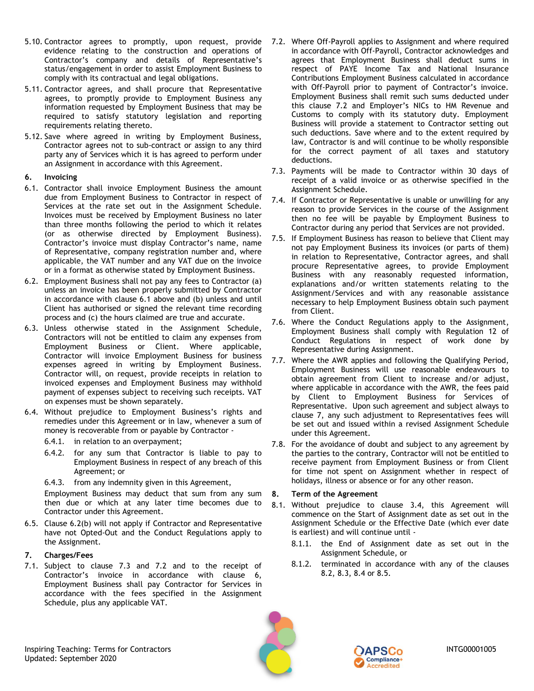- <span id="page-3-0"></span>5.10. Contractor agrees to promptly, upon request, provide 7.2. Where Off-Payroll applies to Assignment and where required evidence relating to the construction and operations of Contractor's company and details of Representative's status/engagement in order to assist Employment Business to comply with its contractual and legal obligations.
- <span id="page-3-1"></span>5.11. Contractor agrees, and shall procure that Representative agrees, to promptly provide to Employment Business any information requested by Employment Business that may be required to satisfy statutory legislation and reporting requirements relating thereto.
- 5.12. Save where agreed in writing by Employment Business, Contractor agrees not to sub-contract or assign to any third party any of Services which it is has agreed to perform under an Assignment in accordance with this Agreement.

# <span id="page-3-7"></span>**6. Invoicing**

- <span id="page-3-4"></span>6.1. Contractor shall invoice Employment Business the amount due from Employment Business to Contractor in respect of Services at the rate set out in the Assignment Schedule. Invoices must be received by Employment Business no later than three months following the period to which it relates (or as otherwise directed by Employment Business). Contractor's invoice must display Contractor's name, name of Representative, company registration number and, where applicable, the VAT number and any VAT due on the invoice or in a format as otherwise stated by Employment Business.
- <span id="page-3-5"></span>6.2. Employment Business shall not pay any fees to Contractor (a) unless an invoice has been properly submitted by Contractor in accordance with clause [6.1 above](#page-3-4) and (b) unless and until Client has authorised or signed the relevant time recording process and (c) the hours claimed are true and accurate.
- 6.3. Unless otherwise stated in the Assignment Schedule, Contractors will not be entitled to claim any expenses from Employment Business or Client. Where applicable, Contractor will invoice Employment Business for business expenses agreed in writing by Employment Business. Contractor will, on request, provide receipts in relation to invoiced expenses and Employment Business may withhold payment of expenses subject to receiving such receipts. VAT on expenses must be shown separately.
- <span id="page-3-2"></span>6.4. Without prejudice to Employment Business's rights and remedies under this Agreement or in law, whenever a sum of money is recoverable from or payable by Contractor -
	- 6.4.1. in relation to an overpayment;
	- 6.4.2. for any sum that Contractor is liable to pay to Employment Business in respect of any breach of this Agreement; or
	- 6.4.3. from any indemnity given in this Agreement,

Employment Business may deduct that sum from any sum then due or which at any later time becomes due to Contractor under this Agreement.

6.5. Clause [6.2\(](#page-3-5)b) will not apply if Contractor and Representative have not Opted-Out and the Conduct Regulations apply to the Assignment.

# <span id="page-3-8"></span>**7. Charges/Fees**

7.1. Subject to clause [7.3](#page-3-6) and [7.2](#page-3-3) and to the receipt of Contractor's invoice in accordance with clause [6,](#page-3-7) Employment Business shall pay Contractor for Services in accordance with the fees specified in the Assignment Schedule, plus any applicable VAT.

- <span id="page-3-3"></span>in accordance with Off-Payroll, Contractor acknowledges and agrees that Employment Business shall deduct sums in respect of PAYE Income Tax and National Insurance Contributions Employment Business calculated in accordance with Off-Payroll prior to payment of Contractor's invoice. Employment Business shall remit such sums deducted under this clause [7.2](#page-3-3) and Employer's NICs to HM Revenue and Customs to comply with its statutory duty. Employment Business will provide a statement to Contractor setting out such deductions. Save where and to the extent required by law, Contractor is and will continue to be wholly responsible for the correct payment of all taxes and statutory deductions.
- <span id="page-3-6"></span>7.3. Payments will be made to Contractor within 30 days of receipt of a valid invoice or as otherwise specified in the Assignment Schedule.
- 7.4. If Contractor or Representative is unable or unwilling for any reason to provide Services in the course of the Assignment then no fee will be payable by Employment Business to Contractor during any period that Services are not provided.
- 7.5. If Employment Business has reason to believe that Client may not pay Employment Business its invoices (or parts of them) in relation to Representative, Contractor agrees, and shall procure Representative agrees, to provide Employment Business with any reasonably requested information, explanations and/or written statements relating to the Assignment/Services and with any reasonable assistance necessary to help Employment Business obtain such payment from Client.
- 7.6. Where the Conduct Regulations apply to the Assignment, Employment Business shall comply with Regulation 12 of Conduct Regulations in respect of work done by Representative during Assignment.
- 7.7. Where the AWR applies and following the Qualifying Period, Employment Business will use reasonable endeavours to obtain agreement from Client to increase and/or adjust, where applicable in accordance with the AWR, the fees paid by Client to Employment Business for Services of Representative. Upon such agreement and subject always to clause [7,](#page-3-8) any such adjustment to Representatives fees will be set out and issued within a revised Assignment Schedule under this Agreement.
- 7.8. For the avoidance of doubt and subject to any agreement by the parties to the contrary, Contractor will not be entitled to receive payment from Employment Business or from Client for time not spent on Assignment whether in respect of holidays, illness or absence or for any other reason.

# <span id="page-3-9"></span>**8. Term of the Agreement**

- 8.1. Without prejudice to clause [3.4,](#page-1-3) this Agreement will commence on the Start of Assignment date as set out in the Assignment Schedule or the Effective Date (which ever date is earliest) and will continue until -
	- 8.1.1. the End of Assignment date as set out in the Assignment Schedule, or
	- 8.1.2. terminated in accordance with any of the clauses [8.2,](#page-4-1) [8.3,](#page-4-2) [8.4](#page-4-3) or [8.5.](#page-4-4)





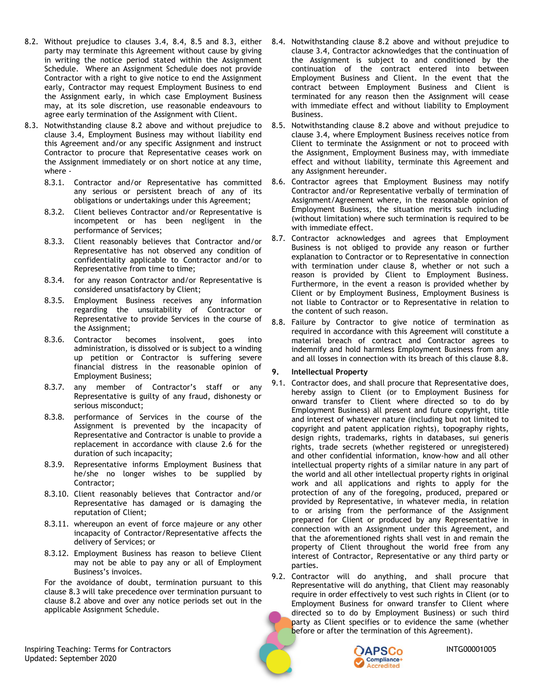- <span id="page-4-1"></span>8.2. Without prejudice to clauses [3.4,](#page-1-3) [8.4,](#page-4-3) [8.5](#page-4-4) and [8.3,](#page-4-2) either party may terminate this Agreement without cause by giving in writing the notice period stated within the Assignment Schedule. Where an Assignment Schedule does not provide Contractor with a right to give notice to end the Assignment early, Contractor may request Employment Business to end the Assignment early, in which case Employment Business may, at its sole discretion, use reasonable endeavours to agree early termination of the Assignment with Client.
- <span id="page-4-2"></span>8.3. Notwithstanding clause [8.2 above](#page-4-1) and without prejudice to clause [3.4,](#page-1-3) Employment Business may without liability end this Agreement and/or any specific Assignment and instruct Contractor to procure that Representative ceases work on the Assignment immediately or on short notice at any time, where -
	- 8.3.1. Contractor and/or Representative has committed any serious or persistent breach of any of its obligations or undertakings under this Agreement;
	- 8.3.2. Client believes Contractor and/or Representative is incompetent or has been negligent in the performance of Services;
	- 8.3.3. Client reasonably believes that Contractor and/or Representative has not observed any condition of confidentiality applicable to Contractor and/or to Representative from time to time;
	- 8.3.4. for any reason Contractor and/or Representative is considered unsatisfactory by Client;
	- 8.3.5. Employment Business receives any information regarding the unsuitability of Contractor or Representative to provide Services in the course of the Assignment;
	- 8.3.6. Contractor becomes insolvent, goes into administration, is dissolved or is subject to a winding up petition or Contractor is suffering severe financial distress in the reasonable opinion of Employment Business;
	- 8.3.7. any member of Contractor's staff or any Representative is guilty of any fraud, dishonesty or serious misconduct;
	- 8.3.8. performance of Services in the course of the Assignment is prevented by the incapacity of Representative and Contractor is unable to provide a replacement in accordance with clause [2.6](#page-1-0) for the duration of such incapacity;
	- 8.3.9. Representative informs Employment Business that he/she no longer wishes to be supplied by Contractor;
	- 8.3.10. Client reasonably believes that Contractor and/or Representative has damaged or is damaging the reputation of Client;
	- 8.3.11. whereupon an event of force majeure or any other incapacity of Contractor/Representative affects the delivery of Services; or
	- 8.3.12. Employment Business has reason to believe Client may not be able to pay any or all of Employment Business's invoices.

For the avoidance of doubt, termination pursuant to this clause [8.3](#page-4-2) will take precedence over termination pursuant to clause [8.2](#page-4-1) above and over any notice periods set out in the applicable Assignment Schedule.

- <span id="page-4-3"></span>8.4. Notwithstanding clause 8.2 [above](#page-4-1) and without prejudice to clause [3.4,](#page-1-3) Contractor acknowledges that the continuation of the Assignment is subject to and conditioned by the continuation of the contract entered into between Employment Business and Client. In the event that the contract between Employment Business and Client is terminated for any reason then the Assignment will cease with immediate effect and without liability to Employment Business.
- <span id="page-4-4"></span>8.5. Notwithstanding clause [8.2 above](#page-4-1) and without prejudice to clause [3.4,](#page-1-3) where Employment Business receives notice from Client to terminate the Assignment or not to proceed with the Assignment, Employment Business may, with immediate effect and without liability, terminate this Agreement and any Assignment hereunder.
- <span id="page-4-7"></span>8.6. Contractor agrees that Employment Business may notify Contractor and/or Representative verbally of termination of Assignment/Agreement where, in the reasonable opinion of Employment Business, the situation merits such including (without limitation) where such termination is required to be with immediate effect.
- 8.7. Contractor acknowledges and agrees that Employment Business is not obliged to provide any reason or further explanation to Contractor or to Representative in connection with termination under clause [8,](#page-3-9) whether or not such a reason is provided by Client to Employment Business. Furthermore, in the event a reason is provided whether by Client or by Employment Business, Employment Business is not liable to Contractor or to Representative in relation to the content of such reason.
- <span id="page-4-5"></span>8.8. Failure by Contractor to give notice of termination as required in accordance with this Agreement will constitute a material breach of contract and Contractor agrees to indemnify and hold harmless Employment Business from any and all losses in connection with its breach of this clause [8.8.](#page-4-5)

# <span id="page-4-6"></span>**9. Intellectual Property**

- 9.1. Contractor does, and shall procure that Representative does, hereby assign to Client (or to Employment Business for onward transfer to Client where directed so to do by Employment Business) all present and future copyright, title and interest of whatever nature (including but not limited to copyright and patent application rights), topography rights, design rights, trademarks, rights in databases, sui generis rights, trade secrets (whether registered or unregistered) and other confidential information, know-how and all other intellectual property rights of a similar nature in any part of the world and all other intellectual property rights in original work and all applications and rights to apply for the protection of any of the foregoing, produced, prepared or provided by Representative, in whatever media, in relation to or arising from the performance of the Assignment prepared for Client or produced by any Representative in connection with an Assignment under this Agreement, and that the aforementioned rights shall vest in and remain the property of Client throughout the world free from any interest of Contractor, Representative or any third party or parties.
- <span id="page-4-0"></span>9.2. Contractor will do anything, and shall procure that Representative will do anything, that Client may reasonably require in order effectively to vest such rights in Client (or to Employment Business for onward transfer to Client where directed so to do by Employment Business) or such third party as Client specifies or to evidence the same (whether before or after the termination of this Agreement).



Inspiring Teaching: Terms for Contractors **International Contractors** INTG00001005 Updated: September 2020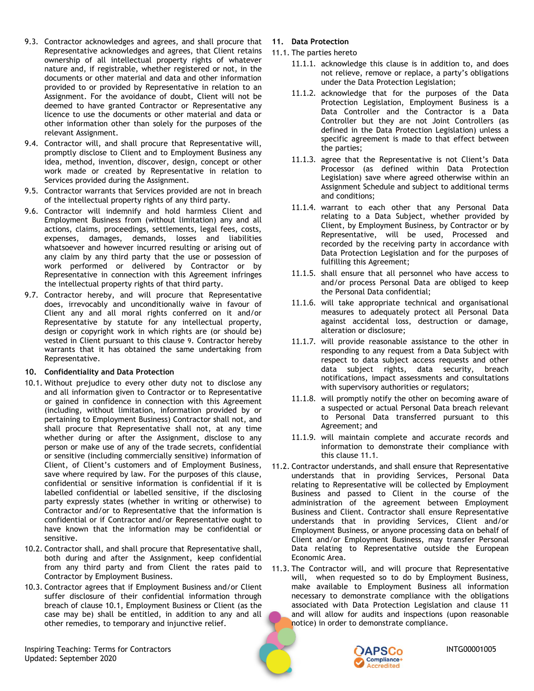- <span id="page-5-0"></span>9.3. Contractor acknowledges and agrees, and shall procure that Representative acknowledges and agrees, that Client retains ownership of all intellectual property rights of whatever nature and, if registrable, whether registered or not, in the documents or other material and data and other information provided to or provided by Representative in relation to an Assignment. For the avoidance of doubt, Client will not be deemed to have granted Contractor or Representative any licence to use the documents or other material and data or other information other than solely for the purposes of the relevant Assignment.
- 9.4. Contractor will, and shall procure that Representative will, promptly disclose to Client and to Employment Business any idea, method, invention, discover, design, concept or other work made or created by Representative in relation to Services provided during the Assignment.
- 9.5. Contractor warrants that Services provided are not in breach of the intellectual property rights of any third party.
- 9.6. Contractor will indemnify and hold harmless Client and Employment Business from (without limitation) any and all actions, claims, proceedings, settlements, legal fees, costs, expenses, damages, demands, losses and liabilities whatsoever and however incurred resulting or arising out of any claim by any third party that the use or possession of work performed or delivered by Contractor or by Representative in connection with this Agreement infringes the intellectual property rights of that third party.
- 9.7. Contractor hereby, and will procure that Representative does, irrevocably and unconditionally waive in favour of Client any and all moral rights conferred on it and/or Representative by statute for any intellectual property, design or copyright work in which rights are (or should be) vested in Client pursuant to this clause [9](#page-4-6). Contractor hereby warrants that it has obtained the same undertaking from Representative.

# <span id="page-5-1"></span>**10. Confidentiality and Data Protection**

- <span id="page-5-3"></span>10.1. Without prejudice to every other duty not to disclose any and all information given to Contractor or to Representative or gained in confidence in connection with this Agreement (including, without limitation, information provided by or pertaining to Employment Business) Contractor shall not, and shall procure that Representative shall not, at any time whether during or after the Assignment, disclose to any person or make use of any of the trade secrets, confidential or sensitive (including commercially sensitive) information of Client, of Client's customers and of Employment Business, save where required by law. For the purposes of this clause, confidential or sensitive information is confidential if it is labelled confidential or labelled sensitive, if the disclosing party expressly states (whether in writing or otherwise) to Contractor and/or to Representative that the information is confidential or if Contractor and/or Representative ought to have known that the information may be confidential or sensitive.
- 10.2. Contractor shall, and shall procure that Representative shall, both during and after the Assignment, keep confidential from any third party and from Client the rates paid to Contractor by Employment Business.
- 10.3. Contractor agrees that if Employment Business and/or Client suffer disclosure of their confidential information through breach of clause [10.1,](#page-5-3) Employment Business or Client (as the case may be) shall be entitled, in addition to any and all other remedies, to temporary and injunctive relief.
- <span id="page-5-2"></span>**11. Data Protection**
- <span id="page-5-4"></span>11.1. The parties hereto
	- 11.1.1. acknowledge this clause is in addition to, and does not relieve, remove or replace, a party's obligations under the Data Protection Legislation;
	- 11.1.2. acknowledge that for the purposes of the Data Protection Legislation, Employment Business is a Data Controller and the Contractor is a Data Controller but they are not Joint Controllers (as defined in the Data Protection Legislation) unless a specific agreement is made to that effect between the parties;
	- 11.1.3. agree that the Representative is not Client's Data Processor (as defined within Data Protection Legislation) save where agreed otherwise within an Assignment Schedule and subject to additional terms and conditions;
	- 11.1.4. warrant to each other that any Personal Data relating to a Data Subject, whether provided by Client, by Employment Business, by Contractor or by Representative, will be used, Processed and recorded by the receiving party in accordance with Data Protection Legislation and for the purposes of fulfilling this Agreement;
	- 11.1.5. shall ensure that all personnel who have access to and/or process Personal Data are obliged to keep the Personal Data confidential;
	- 11.1.6. will take appropriate technical and organisational measures to adequately protect all Personal Data against accidental loss, destruction or damage, alteration or disclosure;
	- 11.1.7. will provide reasonable assistance to the other in responding to any request from a Data Subject with respect to data subject access requests and other data subject rights, data security, breach notifications, impact assessments and consultations with supervisory authorities or regulators;
	- 11.1.8. will promptly notify the other on becoming aware of a suspected or actual Personal Data breach relevant to Personal Data transferred pursuant to this Agreement; and
	- 11.1.9. will maintain complete and accurate records and information to demonstrate their compliance with this clause [11.1](#page-5-4).
- <span id="page-5-6"></span><span id="page-5-5"></span>11.2. Contractor understands, and shall ensure that Representative understands that in providing Services, Personal Data relating to Representative will be collected by Employment Business and passed to Client in the course of the administration of the agreement between Employment Business and Client. Contractor shall ensure Representative understands that in providing Services, Client and/or Employment Business, or anyone processing data on behalf of Client and/or Employment Business, may transfer Personal Data relating to Representative outside the European Economic Area.
- 11.3. The Contractor will, and will procure that Representative will, when requested so to do by Employment Business, make available to Employment Business all information necessary to demonstrate compliance with the obligations associated with Data Protection Legislation and clause [11](#page-5-2) and will allow for audits and inspections (upon reasonable notice) in order to demonstrate compliance.



Inspiring Teaching: Terms for Contractors **Inspiring Teaching: Terms** for Contractors **INTG00001005** Updated: September 2020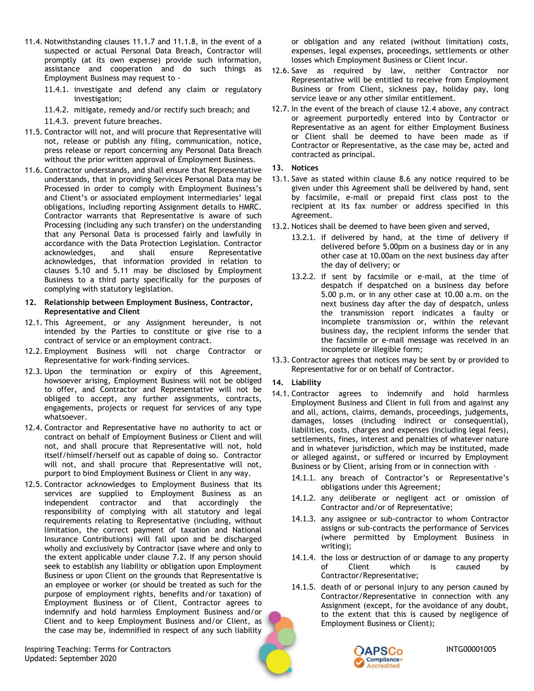- 11.4. Notwithstanding clauses [11.1.7](#page-5-5) and [11.1.8,](#page-5-6) in the event of a suspected or actual Personal Data Breach, Contractor will promptly (at its own expense) provide such information, assistance and cooperation and do such things as Employment Business may request to -
	- 11.4.1. investigate and defend any claim or regulatory investigation;
	- 11.4.2. mitigate, remedy and/or rectify such breach; and
	- 11.4.3. prevent future breaches.
- 11.5. Contractor will not, and will procure that Representative will not, release or publish any filing, communication, notice, press release or report concerning any Personal Data Breach without the prior written approval of Employment Business.
- 11.6. Contractor understands, and shall ensure that Representative understands, that in providing Services Personal Data may be Processed in order to comply with Employment Business's and Client's or associated employment intermediaries' legal obligations, including reporting Assignment details to HMRC. Contractor warrants that Representative is aware of such Processing (including any such transfer) on the understanding that any Personal Data is processed fairly and lawfully in accordance with the Data Protection Legislation. Contractor acknowledges, and shall ensure Representative acknowledges, that information provided in relation to clauses [5.10](#page-3-0) and [5.11](#page-3-1) may be disclosed by Employment Business to a third party specifically for the purposes of complying with statutory legislation.

#### **12. Relationship between Employment Business, Contractor, Representative and Client**

- 12.1. This Agreement, or any Assignment hereunder, is not intended by the Parties to constitute or give rise to a contract of service or an employment contract.
- 12.2. Employment Business will not charge Contractor or Representative for work-finding services.
- <span id="page-6-0"></span>12.3. Upon the termination or expiry of this Agreement, howsoever arising, Employment Business will not be obliged to offer, and Contractor and Representative will not be obliged to accept, any further assignments, contracts, engagements, projects or request for services of any type whatsoever.
- <span id="page-6-3"></span>12.4. Contractor and Representative have no authority to act or contract on behalf of Employment Business or Client and will not, and shall procure that Representative will not, hold itself/himself/herself out as capable of doing so. Contractor will not, and shall procure that Representative will not, purport to bind Employment Business or Client in any way.
- 12.5. Contractor acknowledges to Employment Business that its services are supplied to Employment Business as an independent contractor and that accordingly the responsibility of complying with all statutory and legal requirements relating to Representative (including, without limitation, the correct payment of taxation and National Insurance Contributions) will fall upon and be discharged wholly and exclusively by Contractor (save where and only to the extent applicable under clause [7.2.](#page-3-3) If any person should seek to establish any liability or obligation upon Employment Business or upon Client on the grounds that Representative is an employee or worker (or should be treated as such for the purpose of employment rights, benefits and/or taxation) of Employment Business or of Client, Contractor agrees to indemnify and hold harmless Employment Business and/or Client and to keep Employment Business and/or Client, as the case may be, indemnified in respect of any such liability

Inspiring Teaching: Terms for Contractors **International Contractors** INTG00001005 Updated: September 2020

or obligation and any related (without limitation) costs, expenses, legal expenses, proceedings, settlements or other losses which Employment Business or Client incur.

- 12.6. Save as required by law, neither Contractor nor Representative will be entitled to receive from Employment Business or from Client, sickness pay, holiday pay, long service leave or any other similar entitlement.
- 12.7. In the event of the breach of clause [12.4](#page-6-3) above, any contract or agreement purportedly entered into by Contractor or Representative as an agent for either Employment Business or Client shall be deemed to have been made as if Contractor or Representative, as the case may be, acted and contracted as principal.
- <span id="page-6-1"></span>**13. Notices**
- 13.1. Save as stated within clause [8.6](#page-4-7) any notice required to be given under this Agreement shall be delivered by hand, sent by facsimile, e-mail or prepaid first class post to the recipient at its fax number or address specified in this Agreement.
- 13.2. Notices shall be deemed to have been given and served,
	- 13.2.1. if delivered by hand, at the time of delivery if delivered before 5.00pm on a business day or in any other case at 10.00am on the next business day after the day of delivery; or
	- 13.2.2. if sent by facsimile or e-mail, at the time of despatch if despatched on a business day before 5.00 p.m. or in any other case at 10.00 a.m. on the next business day after the day of despatch, unless the transmission report indicates a faulty or incomplete transmission or, within the relevant business day, the recipient informs the sender that the facsimile or e-mail message was received in an incomplete or illegible form;
- 13.3. Contractor agrees that notices may be sent by or provided to Representative for or on behalf of Contractor.
- **14. Liability**
- <span id="page-6-2"></span>14.1. Contractor agrees to indemnify and hold harmless Employment Business and Client in full from and against any and all, actions, claims, demands, proceedings, judgements, damages, losses (including indirect or consequential), liabilities, costs, charges and expenses (including legal fees), settlements, fines, interest and penalties of whatever nature and in whatever jurisdiction, which may be instituted, made or alleged against, or suffered or incurred by Employment Business or by Client, arising from or in connection with –
	- 14.1.1. any breach of Contractor's or Representative's obligations under this Agreement;
	- 14.1.2. any deliberate or negligent act or omission of Contractor and/or of Representative;
	- 14.1.3. any assignee or sub-contractor to whom Contractor assigns or sub-contracts the performance of Services (where permitted by Employment Business in writing);
	- 14.1.4. the loss or destruction of or damage to any property of Client which is caused by Contractor/Representative;
	- 14.1.5. death of or personal injury to any person caused by Contractor/Representative in connection with any Assignment (except, for the avoidance of any doubt, to the extent that this is caused by negligence of Employment Business or Client);

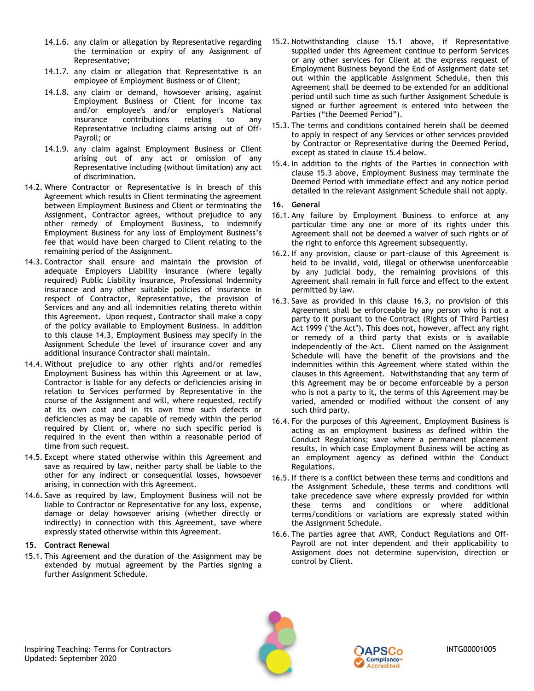- 14.1.6. any claim or allegation by Representative regarding the termination or expiry of any Assignment of Representative;
- 14.1.7. any claim or allegation that Representative is an employee of Employment Business or of Client;
- 14.1.8. any claim or demand, howsoever arising, against Employment Business or Client for income tax and/or employee's and/or employer's National insurance contributions relating to any Representative including claims arising out of Off-Payroll; or
- 14.1.9. any claim against Employment Business or Client arising out of any act or omission of any Representative including (without limitation) any act of discrimination.
- 14.2. Where Contractor or Representative is in breach of this Agreement which results in Client terminating the agreement between Employment Business and Client or terminating the Assignment, Contractor agrees, without prejudice to any other remedy of Employment Business, to indemnify Employment Business for any loss of Employment Business's fee that would have been charged to Client relating to the remaining period of the Assignment.
- <span id="page-7-0"></span>14.3. Contractor shall ensure and maintain the provision of adequate Employers Liability insurance (where legally required) Public Liability insurance, Professional Indemnity insurance and any other suitable policies of insurance in respect of Contractor, Representative, the provision of Services and any and all indemnities relating thereto within this Agreement. Upon request, Contractor shall make a copy of the policy available to Employment Business. In addition to this clause [14.3,](#page-7-0) Employment Business may specify in the Assignment Schedule the level of insurance cover and any additional insurance Contractor shall maintain.
- <span id="page-7-1"></span>14.4. Without prejudice to any other rights and/or remedies Employment Business has within this Agreement or at law, Contractor is liable for any defects or deficiencies arising in relation to Services performed by Representative in the course of the Assignment and will, where requested, rectify at its own cost and in its own time such defects or deficiencies as may be capable of remedy within the period required by Client or, where no such specific period is required in the event then within a reasonable period of time from such request.
- 14.5. Except where stated otherwise within this Agreement and save as required by law, neither party shall be liable to the other for any indirect or consequential losses, howsoever arising, in connection with this Agreement.
- 14.6. Save as required by law, Employment Business will not be liable to Contractor or Representative for any loss, expense, damage or delay howsoever arising (whether directly or indirectly) in connection with this Agreement, save where expressly stated otherwise within this Agreement.

#### <span id="page-7-2"></span>**15. Contract Renewal**

<span id="page-7-4"></span>15.1. This Agreement and the duration of the Assignment may be extended by mutual agreement by the Parties signing a further Assignment Schedule.

- 15.2. Notwithstanding clause [15.1](#page-7-4) above, if Representative supplied under this Agreement continue to perform Services or any other services for Client at the express request of Employment Business beyond the End of Assignment date set out within the applicable Assignment Schedule, then this Agreement shall be deemed to be extended for an additional period until such time as such further Assignment Schedule is signed or further agreement is entered into between the Parties ("the Deemed Period").
- <span id="page-7-6"></span>15.3. The terms and conditions contained herein shall be deemed to apply in respect of any Services or other services provided by Contractor or Representative during the Deemed Period, except as stated in clause [15.4](#page-7-5) below.
- <span id="page-7-5"></span>15.4. In addition to the rights of the Parties in connection with clause [15.3](#page-7-6) above, Employment Business may terminate the Deemed Period with immediate effect and any notice period detailed in the relevant Assignment Schedule shall not apply.

#### <span id="page-7-3"></span>**16. General**

- 16.1. Any failure by Employment Business to enforce at any particular time any one or more of its rights under this Agreement shall not be deemed a waiver of such rights or of the right to enforce this Agreement subsequently.
- 16.2. If any provision, clause or part-clause of this Agreement is held to be invalid, void, illegal or otherwise unenforceable by any judicial body, the remaining provisions of this Agreement shall remain in full force and effect to the extent permitted by law.
- <span id="page-7-7"></span>16.3. Save as provided in this clause [16.3,](#page-7-7) no provision of this Agreement shall be enforceable by any person who is not a party to it pursuant to the Contract (Rights of Third Parties) Act 1999 ("the Act"). This does not, however, affect any right or remedy of a third party that exists or is available independently of the Act. Client named on the Assignment Schedule will have the benefit of the provisions and the indemnities within this Agreement where stated within the clauses in this Agreement. Notwithstanding that any term of this Agreement may be or become enforceable by a person who is not a party to it, the terms of this Agreement may be varied, amended or modified without the consent of any such third party.
- 16.4. For the purposes of this Agreement, Employment Business is acting as an employment business as defined within the Conduct Regulations; save where a permanent placement results, in which case Employment Business will be acting as an employment agency as defined within the Conduct Regulations.
- 16.5. If there is a conflict between these terms and conditions and the Assignment Schedule, these terms and conditions will take precedence save where expressly provided for within these terms and conditions or where additional terms/conditions or variations are expressly stated within the Assignment Schedule.
- 16.6. The parties agree that AWR, Conduct Regulations and Off-Payroll are not inter dependent and their applicability to Assignment does not determine supervision, direction or control by Client.



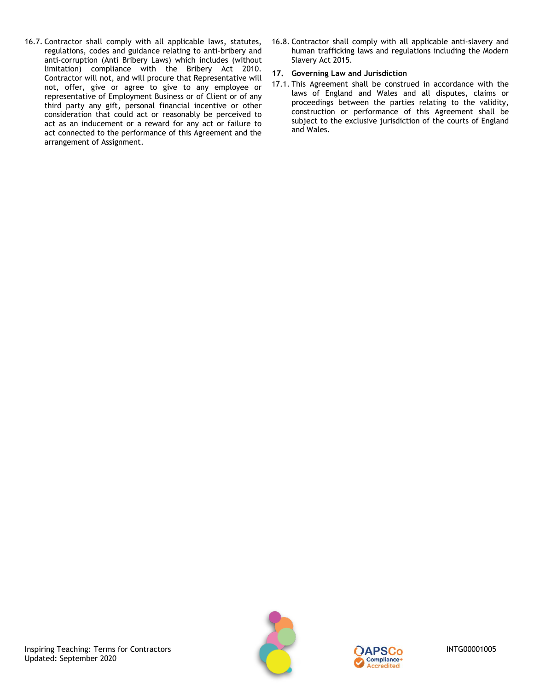- 16.7. Contractor shall comply with all applicable laws, statutes, regulations, codes and guidance relating to anti-bribery and anti-corruption (Anti Bribery Laws) which includes (without limitation) compliance with the Bribery Act 2010. Contractor will not, and will procure that Representative will not, offer, give or agree to give to any employee or representative of Employment Business or of Client or of any third party any gift, personal financial incentive or other consideration that could act or reasonably be perceived to act as an inducement or a reward for any act or failure to act connected to the performance of this Agreement and the arrangement of Assignment.
- 16.8. Contractor shall comply with all applicable anti-slavery and human trafficking laws and regulations including the Modern Slavery Act 2015.

# <span id="page-8-0"></span>**17. Governing Law and Jurisdiction**

17.1. This Agreement shall be construed in accordance with the laws of England and Wales and all disputes, claims or proceedings between the parties relating to the validity, construction or performance of this Agreement shall be subject to the exclusive jurisdiction of the courts of England and Wales.